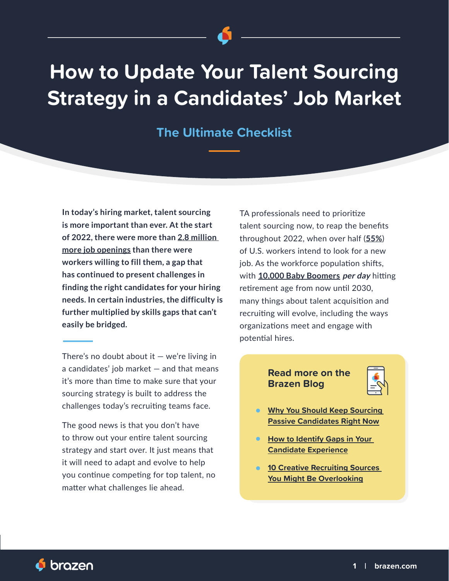# **How to Update Your Talent Sourcing Strategy in a Candidates' Job Market**

**The Ultimate Checklist**

**In today's hiring market, talent sourcing is more important than ever. At the start of 2022, there were more than [2.8 million](https://www.uschamber.com/economy/the-divide-between-job-openings-and-willing-workers-widens#:~:text=In%20total%2C%20businesses%20have%20added,unemployed%20workers%20in%20the%20economy.)  [more job openings](https://www.uschamber.com/economy/the-divide-between-job-openings-and-willing-workers-widens#:~:text=In%20total%2C%20businesses%20have%20added,unemployed%20workers%20in%20the%20economy.) than there were workers willing to fill them, a gap that has continued to present challenges in finding the right candidates for your hiring needs. In certain industries, the difficulty is further multiplied by skills gaps that can't easily be bridged.** 

There's no doubt about it  $-$  we're living in a candidates' job market — and that means it's more than time to make sure that your sourcing strategy is built to address the challenges today's recruiting teams face.

The good news is that you don't have to throw out your entire talent sourcing strategy and start over. It just means that it will need to adapt and evolve to help you continue competing for top talent, no matter what challenges lie ahead.

TA professionals need to prioritize talent sourcing now, to reap the benefits throughout 2022, when over half (**[55%](https://www.nasdaq.com/articles/the-great-resignation-could-see-half-the-nations-workers-changing-jobs-2021-09-01)**) of U.S. workers intend to look for a new job. As the workforce population shifts, with **[10,000 Baby Boomers](https://www.seniorliving.org/life/baby-boomers/) per day** hitting retirement age from now until 2030, many things about talent acquisition and recruiting will evolve, including the ways organizations meet and engage with potential hires.

### **Read more on the Brazen Blog**



- **[Why You Should Keep Sourcing](https://www.brazen.com/resources/sourcing-passive-candidates)  [Passive Candidates Right Now](https://www.brazen.com/resources/sourcing-passive-candidates)**
- **How to Identify Gaps in Your [Candidate Experience](https://www.brazen.com/resources/identify-gaps-candidate-xp)**
- **10 Creative Recruiting Sources [You Might Be Overlooking](https://www.brazen.com/resources/creative-recruiting-sources)**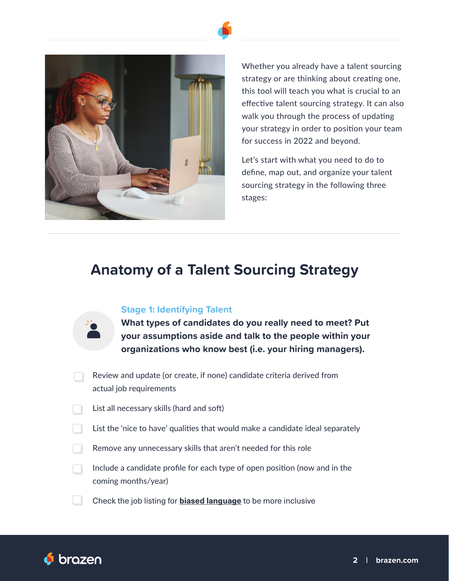

Whether you already have a talent sourcing strategy or are thinking about creating one, this tool will teach you what is crucial to an effective talent sourcing strategy. It can also walk you through the process of updating your strategy in order to position your team for success in 2022 and beyond.

Let's start with what you need to do to define, map out, and organize your talent sourcing strategy in the following three stages:

## **Anatomy of a Talent Sourcing Strategy**

### **Stage 1: Identifying Talent**

| What types of candidates do you really need to meet? Put  |
|-----------------------------------------------------------|
| your assumptions aside and talk to the people within your |
| organizations who know best (i.e. your hiring managers).  |

- Review and update (or create, if none) candidate criteria derived from actual job requirements
- List all necessary skills (hard and soft)
- List the 'nice to have' qualities that would make a candidate ideal separately
- Remove any unnecessary skills that aren't needed for this role
- Include a candidate profile for each type of open position (now and in the coming months/year)
- Check the job listing for **[biased language](https://www.brazen.com/resources/how-to-bias-check-your-hiring-process)** to be more inclusive

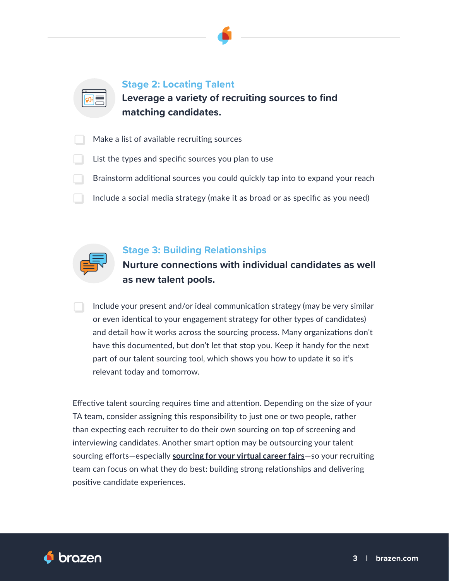

**Stage 2: Locating Talent** 

**Leverage a variety of recruiting sources to find matching candidates.**

- Make a list of available recruiting sources
- List the types and specific sources you plan to use
- Brainstorm additional sources you could quickly tap into to expand your reach
- Include a social media strategy (make it as broad or as specific as you need)



### **Stage 3: Building Relationships**

**Nurture connections with individual candidates as well as new talent pools.**

Include your present and/or ideal communication strategy (may be very similar or even identical to your engagement strategy for other types of candidates) and detail how it works across the sourcing process. Many organizations don't have this documented, but don't let that stop you. Keep it handy for the next part of our talent sourcing tool, which shows you how to update it so it's relevant today and tomorrow.

Effective talent sourcing requires time and attention. Depending on the size of your TA team, consider assigning this responsibility to just one or two people, rather than expecting each recruiter to do their own sourcing on top of screening and interviewing candidates. Another smart option may be outsourcing your talent sourcing efforts—especially **[sourcing for your virtual career fairs](https://www.brazen.com/solutions/sourcing-marketplace)**—so your recruiting team can focus on what they do best: building strong relationships and delivering positive candidate experiences.

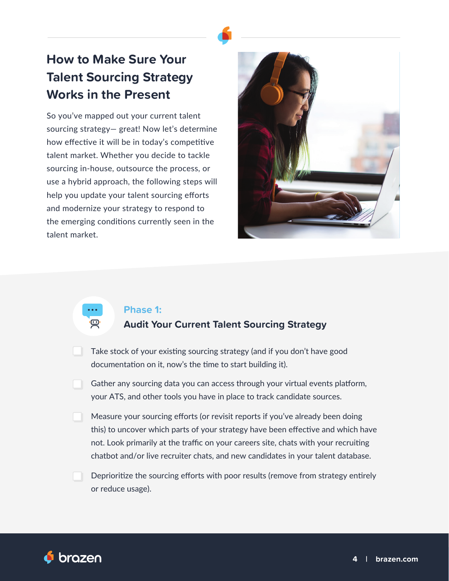# **How to Make Sure Your Talent Sourcing Strategy Works in the Present**

So you've mapped out your current talent sourcing strategy— great! Now let's determine how effective it will be in today's competitive talent market. Whether you decide to tackle sourcing in-house, outsource the process, or use a hybrid approach, the following steps will help you update your talent sourcing efforts and modernize your strategy to respond to the emerging conditions currently seen in the talent market.



### **Phase 1:**

### **Audit Your Current Talent Sourcing Strategy**

- Take stock of your existing sourcing strategy (and if you don't have good documentation on it, now's the time to start building it).
- Gather any sourcing data you can access through your virtual events platform, your ATS, and other tools you have in place to track candidate sources.
- Measure your sourcing efforts (or revisit reports if you've already been doing this) to uncover which parts of your strategy have been effective and which have not. Look primarily at the traffic on your careers site, chats with your recruiting chatbot and/or live recruiter chats, and new candidates in your talent database.
- Deprioritize the sourcing efforts with poor results (remove from strategy entirely or reduce usage).

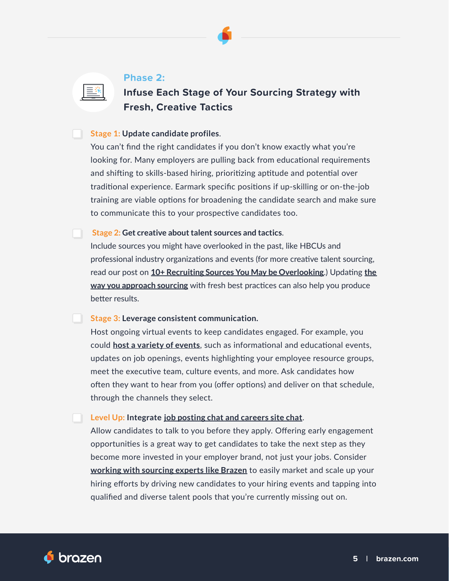

三米

### **Infuse Each Stage of Your Sourcing Strategy with Fresh, Creative Tactics**

### **Stage 1: Update candidate profiles**.

You can't find the right candidates if you don't know exactly what you're looking for. Many employers are pulling back from educational requirements and shifting to skills-based hiring, prioritizing aptitude and potential over traditional experience. Earmark specific positions if up-skilling or on-the-job training are viable options for broadening the candidate search and make sure to communicate this to your prospective candidates too.

#### **Stage 2: Get creative about talent sources and tactics**.

Include sources you might have overlooked in the past, like HBCUs and professional industry organizations and events (for more creative talent sourcing, read our post on **[10+ Recruiting Sources You May be Overlooking](https://www.brazen.com/resources/creative-recruiting-sources)**.) Updating **[the](https://www.brazen.com/resources/sourcing-hacks)  [way you approach sourcing](https://www.brazen.com/resources/sourcing-hacks)** with fresh best practices can also help you produce better results.

### **Stage 3: Leverage consistent communication.**

Host ongoing virtual events to keep candidates engaged. For example, you could **[host a variety of events](https://www.brazen.com/resources/recruiting-event-ideas)**, such as informational and educational events, updates on job openings, events highlighting your employee resource groups, meet the executive team, culture events, and more. Ask candidates how often they want to hear from you (offer options) and deliver on that schedule, through the channels they select.

### **Level Up: Integrate [job posting chat and careers site chat](https://www.brazen.com/solutions/quickchat-faq-concierge)**.

Allow candidates to talk to you before they apply. Offering early engagement opportunities is a great way to get candidates to take the next step as they become more invested in your employer brand, not just your jobs. Consider **[working with sourcing experts like Brazen](https://www.brazen.com/resources/sourcing-marketplace-hiring-events-1)** to easily market and scale up your hiring efforts by driving new candidates to your hiring events and tapping into qualified and diverse talent pools that you're currently missing out on.